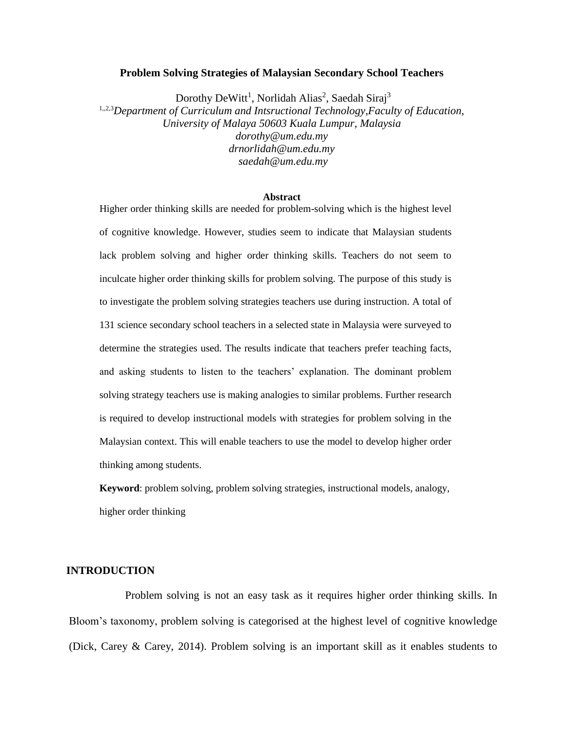### **Problem Solving Strategies of Malaysian Secondary School Teachers**

Dorothy DeWitt<sup>1</sup>, Norlidah Alias<sup>2</sup>, Saedah Siraj<sup>3</sup>

1,,2,3*Department of Curriculum and Intsructional Technology,Faculty of Education, University of Malaya 50603 Kuala Lumpur, Malaysia dorothy@um.edu.my drnorlidah@um.edu.my saedah@um.edu.my*

#### **Abstract**

Higher order thinking skills are needed for problem-solving which is the highest level of cognitive knowledge. However, studies seem to indicate that Malaysian students lack problem solving and higher order thinking skills. Teachers do not seem to inculcate higher order thinking skills for problem solving. The purpose of this study is to investigate the problem solving strategies teachers use during instruction. A total of 131 science secondary school teachers in a selected state in Malaysia were surveyed to determine the strategies used. The results indicate that teachers prefer teaching facts, and asking students to listen to the teachers' explanation. The dominant problem solving strategy teachers use is making analogies to similar problems. Further research is required to develop instructional models with strategies for problem solving in the Malaysian context. This will enable teachers to use the model to develop higher order thinking among students.

**Keyword**: problem solving, problem solving strategies, instructional models, analogy, higher order thinking

## **INTRODUCTION**

Problem solving is not an easy task as it requires higher order thinking skills. In Bloom's taxonomy, problem solving is categorised at the highest level of cognitive knowledge (Dick, Carey & Carey, 2014). Problem solving is an important skill as it enables students to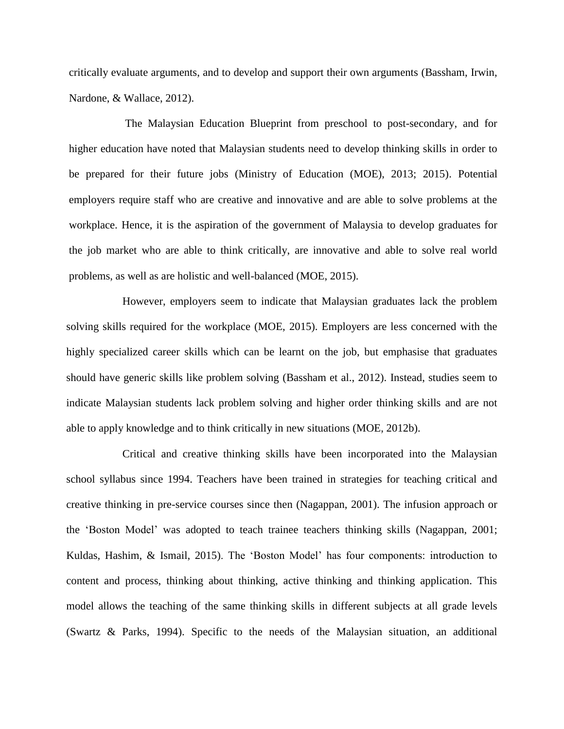critically evaluate arguments, and to develop and support their own arguments (Bassham, Irwin, Nardone, & Wallace, 2012).

The Malaysian Education Blueprint from preschool to post-secondary, and for higher education have noted that Malaysian students need to develop thinking skills in order to be prepared for their future jobs (Ministry of Education (MOE), 2013; 2015). Potential employers require staff who are creative and innovative and are able to solve problems at the workplace. Hence, it is the aspiration of the government of Malaysia to develop graduates for the job market who are able to think critically, are innovative and able to solve real world problems, as well as are holistic and well-balanced (MOE, 2015).

However, employers seem to indicate that Malaysian graduates lack the problem solving skills required for the workplace (MOE, 2015). Employers are less concerned with the highly specialized career skills which can be learnt on the job, but emphasise that graduates should have generic skills like problem solving (Bassham et al., 2012). Instead, studies seem to indicate Malaysian students lack problem solving and higher order thinking skills and are not able to apply knowledge and to think critically in new situations (MOE, 2012b).

Critical and creative thinking skills have been incorporated into the Malaysian school syllabus since 1994. Teachers have been trained in strategies for teaching critical and creative thinking in pre-service courses since then (Nagappan, 2001). The infusion approach or the 'Boston Model' was adopted to teach trainee teachers thinking skills (Nagappan, 2001; Kuldas, Hashim, & Ismail, 2015). The 'Boston Model' has four components: introduction to content and process, thinking about thinking, active thinking and thinking application. This model allows the teaching of the same thinking skills in different subjects at all grade levels (Swartz & Parks, 1994). Specific to the needs of the Malaysian situation, an additional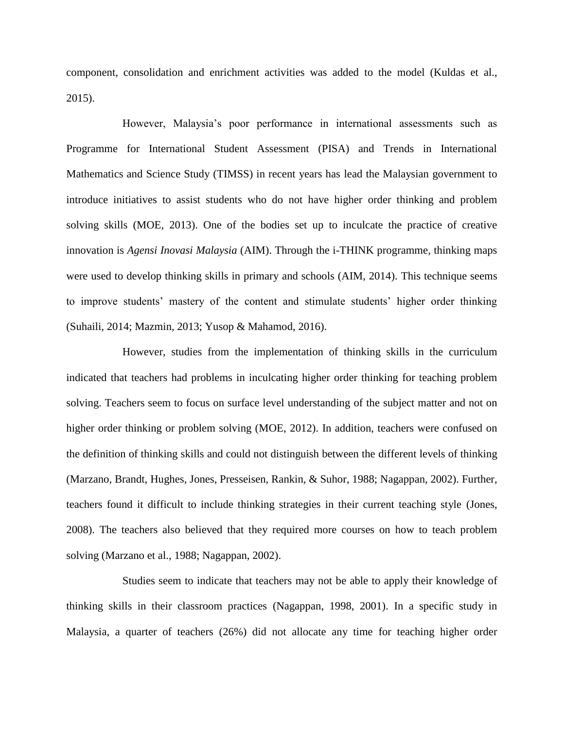component, consolidation and enrichment activities was added to the model (Kuldas et al., 2015).

However, Malaysia's poor performance in international assessments such as Programme for International Student Assessment (PISA) and Trends in International Mathematics and Science Study (TIMSS) in recent years has lead the Malaysian government to introduce initiatives to assist students who do not have higher order thinking and problem solving skills (MOE, 2013). One of the bodies set up to inculcate the practice of creative innovation is *Agensi Inovasi Malaysia* (AIM). Through the i-THINK programme, thinking maps were used to develop thinking skills in primary and schools (AIM, 2014). This technique seems to improve students' mastery of the content and stimulate students' higher order thinking (Suhaili, 2014; Mazmin, 2013; Yusop & Mahamod, 2016).

However, studies from the implementation of thinking skills in the curriculum indicated that teachers had problems in inculcating higher order thinking for teaching problem solving. Teachers seem to focus on surface level understanding of the subject matter and not on higher order thinking or problem solving (MOE, 2012). In addition, teachers were confused on the definition of thinking skills and could not distinguish between the different levels of thinking (Marzano, Brandt, Hughes, Jones, Presseisen, Rankin, & Suhor, 1988; Nagappan, 2002). Further, teachers found it difficult to include thinking strategies in their current teaching style (Jones, 2008). The teachers also believed that they required more courses on how to teach problem solving (Marzano et al., 1988; Nagappan, 2002).

Studies seem to indicate that teachers may not be able to apply their knowledge of thinking skills in their classroom practices (Nagappan, 1998, 2001). In a specific study in Malaysia, a quarter of teachers (26%) did not allocate any time for teaching higher order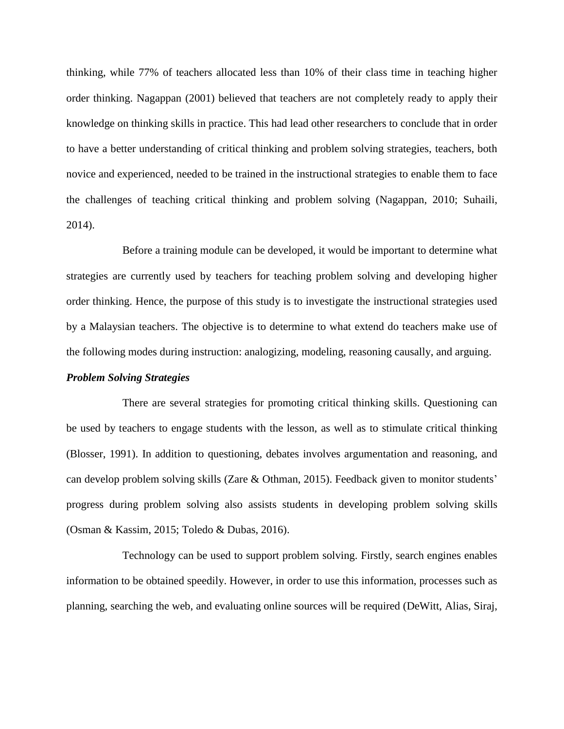thinking, while 77% of teachers allocated less than 10% of their class time in teaching higher order thinking. Nagappan (2001) believed that teachers are not completely ready to apply their knowledge on thinking skills in practice. This had lead other researchers to conclude that in order to have a better understanding of critical thinking and problem solving strategies, teachers, both novice and experienced, needed to be trained in the instructional strategies to enable them to face the challenges of teaching critical thinking and problem solving (Nagappan, 2010; Suhaili, 2014).

Before a training module can be developed, it would be important to determine what strategies are currently used by teachers for teaching problem solving and developing higher order thinking. Hence, the purpose of this study is to investigate the instructional strategies used by a Malaysian teachers. The objective is to determine to what extend do teachers make use of the following modes during instruction: analogizing, modeling, reasoning causally, and arguing.

### *Problem Solving Strategies*

There are several strategies for promoting critical thinking skills. Questioning can be used by teachers to engage students with the lesson, as well as to stimulate critical thinking (Blosser, 1991). In addition to questioning, debates involves argumentation and reasoning, and can develop problem solving skills (Zare & Othman, 2015). Feedback given to monitor students' progress during problem solving also assists students in developing problem solving skills (Osman & Kassim, 2015; Toledo & Dubas, 2016).

Technology can be used to support problem solving. Firstly, search engines enables information to be obtained speedily. However, in order to use this information, processes such as planning, searching the web, and evaluating online sources will be required (DeWitt, Alias, Siraj,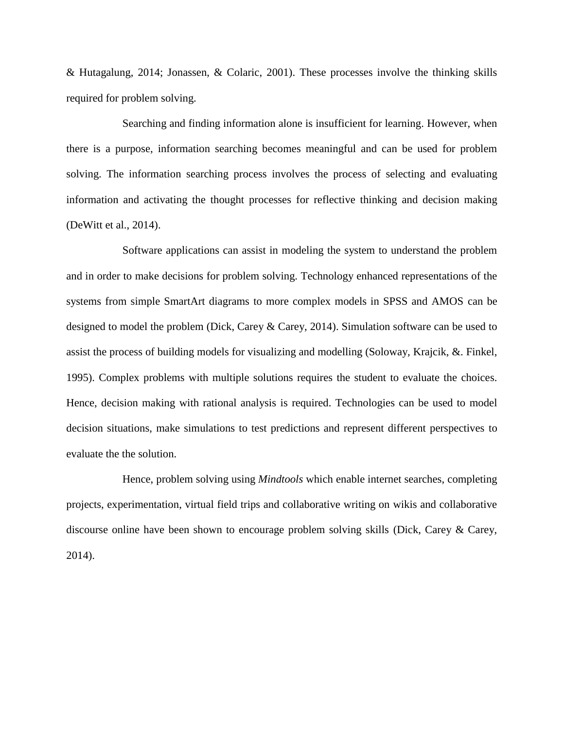& Hutagalung, 2014; Jonassen, & Colaric, 2001). These processes involve the thinking skills required for problem solving.

Searching and finding information alone is insufficient for learning. However, when there is a purpose, information searching becomes meaningful and can be used for problem solving. The information searching process involves the process of selecting and evaluating information and activating the thought processes for reflective thinking and decision making (DeWitt et al., 2014).

Software applications can assist in modeling the system to understand the problem and in order to make decisions for problem solving. Technology enhanced representations of the systems from simple SmartArt diagrams to more complex models in SPSS and AMOS can be designed to model the problem (Dick, Carey & Carey, 2014). Simulation software can be used to assist the process of building models for visualizing and modelling (Soloway, Krajcik, &. Finkel, 1995). Complex problems with multiple solutions requires the student to evaluate the choices. Hence, decision making with rational analysis is required. Technologies can be used to model decision situations, make simulations to test predictions and represent different perspectives to evaluate the the solution.

Hence, problem solving using *Mindtools* which enable internet searches, completing projects, experimentation, virtual field trips and collaborative writing on wikis and collaborative discourse online have been shown to encourage problem solving skills (Dick, Carey & Carey, 2014).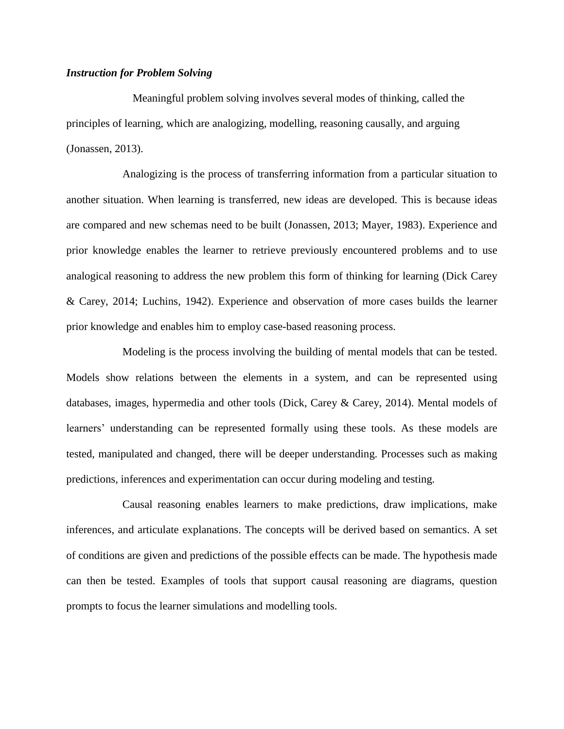# *Instruction for Problem Solving*

Meaningful problem solving involves several modes of thinking, called the principles of learning, which are analogizing, modelling, reasoning causally, and arguing (Jonassen, 2013).

Analogizing is the process of transferring information from a particular situation to another situation. When learning is transferred, new ideas are developed. This is because ideas are compared and new schemas need to be built (Jonassen, 2013; Mayer, 1983). Experience and prior knowledge enables the learner to retrieve previously encountered problems and to use analogical reasoning to address the new problem this form of thinking for learning (Dick Carey & Carey, 2014; Luchins, 1942). Experience and observation of more cases builds the learner prior knowledge and enables him to employ case-based reasoning process.

Modeling is the process involving the building of mental models that can be tested. Models show relations between the elements in a system, and can be represented using databases, images, hypermedia and other tools (Dick, Carey & Carey, 2014). Mental models of learners' understanding can be represented formally using these tools. As these models are tested, manipulated and changed, there will be deeper understanding. Processes such as making predictions, inferences and experimentation can occur during modeling and testing.

Causal reasoning enables learners to make predictions, draw implications, make inferences, and articulate explanations. The concepts will be derived based on semantics. A set of conditions are given and predictions of the possible effects can be made. The hypothesis made can then be tested. Examples of tools that support causal reasoning are diagrams, question prompts to focus the learner simulations and modelling tools.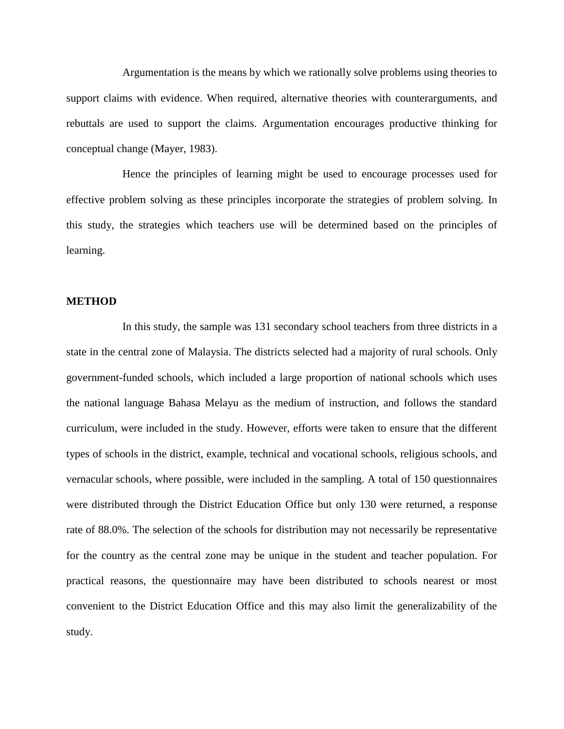Argumentation is the means by which we rationally solve problems using theories to support claims with evidence. When required, alternative theories with counterarguments, and rebuttals are used to support the claims. Argumentation encourages productive thinking for conceptual change (Mayer, 1983).

Hence the principles of learning might be used to encourage processes used for effective problem solving as these principles incorporate the strategies of problem solving. In this study, the strategies which teachers use will be determined based on the principles of learning.

## **METHOD**

In this study, the sample was 131 secondary school teachers from three districts in a state in the central zone of Malaysia. The districts selected had a majority of rural schools. Only government-funded schools, which included a large proportion of national schools which uses the national language Bahasa Melayu as the medium of instruction, and follows the standard curriculum, were included in the study. However, efforts were taken to ensure that the different types of schools in the district, example, technical and vocational schools, religious schools, and vernacular schools, where possible, were included in the sampling. A total of 150 questionnaires were distributed through the District Education Office but only 130 were returned, a response rate of 88.0%. The selection of the schools for distribution may not necessarily be representative for the country as the central zone may be unique in the student and teacher population. For practical reasons, the questionnaire may have been distributed to schools nearest or most convenient to the District Education Office and this may also limit the generalizability of the study.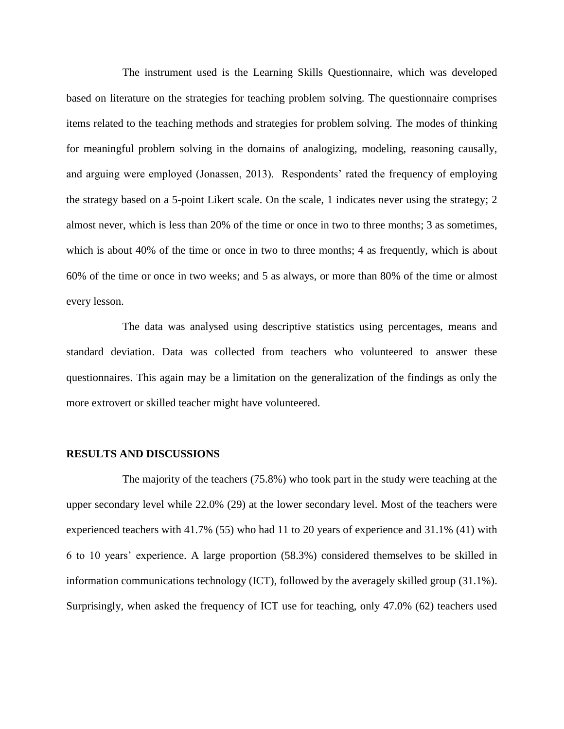The instrument used is the Learning Skills Questionnaire, which was developed based on literature on the strategies for teaching problem solving. The questionnaire comprises items related to the teaching methods and strategies for problem solving. The modes of thinking for meaningful problem solving in the domains of analogizing, modeling, reasoning causally, and arguing were employed (Jonassen, 2013). Respondents' rated the frequency of employing the strategy based on a 5-point Likert scale. On the scale, 1 indicates never using the strategy; 2 almost never, which is less than 20% of the time or once in two to three months; 3 as sometimes, which is about 40% of the time or once in two to three months; 4 as frequently, which is about 60% of the time or once in two weeks; and 5 as always, or more than 80% of the time or almost every lesson.

The data was analysed using descriptive statistics using percentages, means and standard deviation. Data was collected from teachers who volunteered to answer these questionnaires. This again may be a limitation on the generalization of the findings as only the more extrovert or skilled teacher might have volunteered.

#### **RESULTS AND DISCUSSIONS**

The majority of the teachers (75.8%) who took part in the study were teaching at the upper secondary level while 22.0% (29) at the lower secondary level. Most of the teachers were experienced teachers with 41.7% (55) who had 11 to 20 years of experience and 31.1% (41) with 6 to 10 years' experience. A large proportion (58.3%) considered themselves to be skilled in information communications technology (ICT), followed by the averagely skilled group (31.1%). Surprisingly, when asked the frequency of ICT use for teaching, only 47.0% (62) teachers used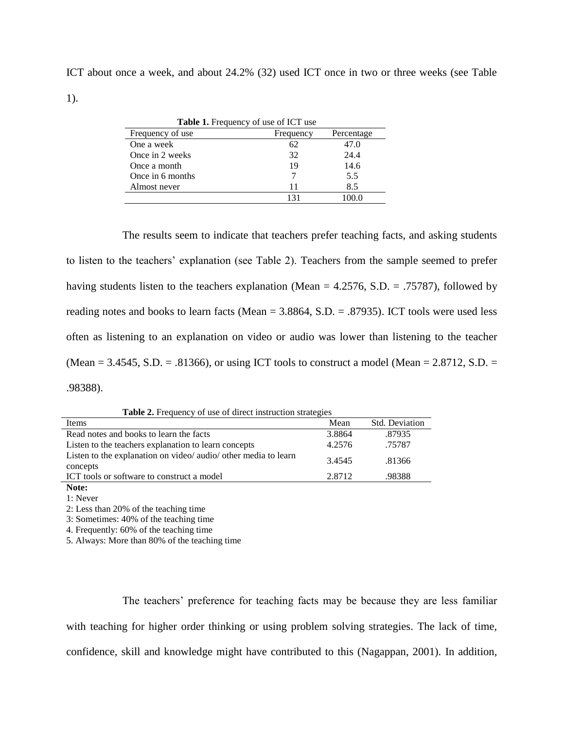ICT about once a week, and about 24.2% (32) used ICT once in two or three weeks (see Table 1).

| <b>Table 1.</b> Frequency of use of ICT use |           |            |  |  |  |
|---------------------------------------------|-----------|------------|--|--|--|
| Frequency of use                            | Frequency | Percentage |  |  |  |
| One a week                                  | 62        | 47.0       |  |  |  |
| Once in 2 weeks                             | 32        | 24.4       |  |  |  |
| Once a month                                | 19        | 14.6       |  |  |  |
| Once in 6 months                            |           | 5.5        |  |  |  |
| Almost never                                | 11        | 8.5        |  |  |  |
|                                             | 131       | 00 Q       |  |  |  |
|                                             |           |            |  |  |  |

The results seem to indicate that teachers prefer teaching facts, and asking students to listen to the teachers' explanation (see Table 2). Teachers from the sample seemed to prefer having students listen to the teachers explanation (Mean = 4.2576, S.D. = .75787), followed by reading notes and books to learn facts (Mean = 3.8864, S.D. = .87935). ICT tools were used less often as listening to an explanation on video or audio was lower than listening to the teacher (Mean = 3.4545, S.D. = .81366), or using ICT tools to construct a model (Mean =  $2.8712$ , S.D. = .98388).

Table 2. Frequency of use of direct instruction strategies

| Items                                                           | Mean   | Std. Deviation |
|-----------------------------------------------------------------|--------|----------------|
| Read notes and books to learn the facts                         | 3.8864 | .87935         |
| Listen to the teachers explanation to learn concepts            | 4.2576 | .75787         |
| Listen to the explanation on video/ audio/ other media to learn | 3.4545 | .81366         |
| concepts<br>ICT tools or software to construct a model          | 2.8712 | .98388         |
|                                                                 |        |                |

**Note:**

1: Never 2: Less than 20% of the teaching time

3: Sometimes: 40% of the teaching time

4. Frequently: 60% of the teaching time

5. Always: More than 80% of the teaching time

The teachers' preference for teaching facts may be because they are less familiar with teaching for higher order thinking or using problem solving strategies. The lack of time, confidence, skill and knowledge might have contributed to this (Nagappan, 2001). In addition,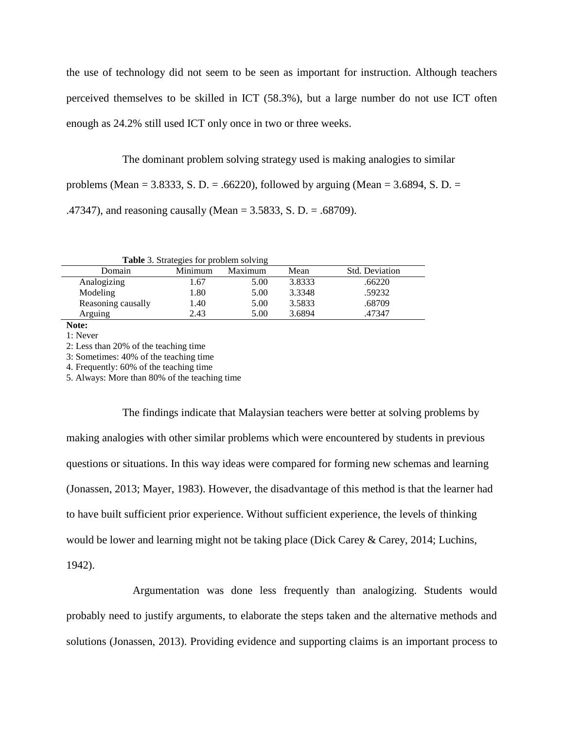the use of technology did not seem to be seen as important for instruction. Although teachers perceived themselves to be skilled in ICT (58.3%), but a large number do not use ICT often enough as 24.2% still used ICT only once in two or three weeks.

The dominant problem solving strategy used is making analogies to similar problems (Mean = 3.8333, S. D. = .66220), followed by arguing (Mean = 3.6894, S. D. = .47347), and reasoning causally (Mean = 3.5833, S. D. = .68709).

| Table 3. Strategies for problem solving |  |
|-----------------------------------------|--|
|-----------------------------------------|--|

| Domain             | Minimum | Maximum | Mean   | Std. Deviation |
|--------------------|---------|---------|--------|----------------|
| Analogizing        | 67      | 5.00    | 3.8333 | .66220         |
| Modeling           | 1.80    | 5.00    | 3.3348 | .59232         |
| Reasoning causally | l.40    | 5.00    | 3.5833 | .68709         |
| Arguing            | 2.43    | 5.00    | 3.6894 | .47347         |

**Note:**

1: Never

2: Less than 20% of the teaching time

3: Sometimes: 40% of the teaching time

4. Frequently: 60% of the teaching time

5. Always: More than 80% of the teaching time

The findings indicate that Malaysian teachers were better at solving problems by making analogies with other similar problems which were encountered by students in previous questions or situations. In this way ideas were compared for forming new schemas and learning (Jonassen, 2013; Mayer, 1983). However, the disadvantage of this method is that the learner had to have built sufficient prior experience. Without sufficient experience, the levels of thinking would be lower and learning might not be taking place (Dick Carey & Carey, 2014; Luchins, 1942).

Argumentation was done less frequently than analogizing. Students would probably need to justify arguments, to elaborate the steps taken and the alternative methods and solutions (Jonassen, 2013). Providing evidence and supporting claims is an important process to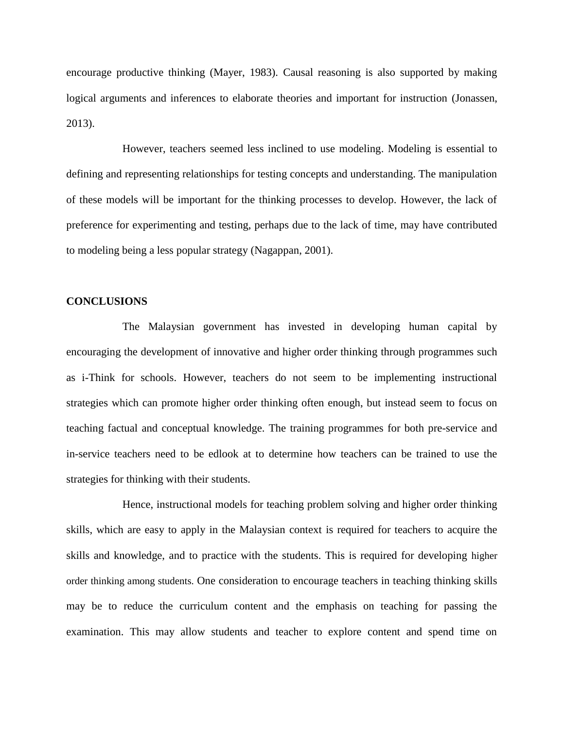encourage productive thinking (Mayer, 1983). Causal reasoning is also supported by making logical arguments and inferences to elaborate theories and important for instruction (Jonassen, 2013).

However, teachers seemed less inclined to use modeling. Modeling is essential to defining and representing relationships for testing concepts and understanding. The manipulation of these models will be important for the thinking processes to develop. However, the lack of preference for experimenting and testing, perhaps due to the lack of time, may have contributed to modeling being a less popular strategy (Nagappan, 2001).

# **CONCLUSIONS**

The Malaysian government has invested in developing human capital by encouraging the development of innovative and higher order thinking through programmes such as i-Think for schools. However, teachers do not seem to be implementing instructional strategies which can promote higher order thinking often enough, but instead seem to focus on teaching factual and conceptual knowledge. The training programmes for both pre-service and in-service teachers need to be edlook at to determine how teachers can be trained to use the strategies for thinking with their students.

Hence, instructional models for teaching problem solving and higher order thinking skills, which are easy to apply in the Malaysian context is required for teachers to acquire the skills and knowledge, and to practice with the students. This is required for developing higher order thinking among students. One consideration to encourage teachers in teaching thinking skills may be to reduce the curriculum content and the emphasis on teaching for passing the examination. This may allow students and teacher to explore content and spend time on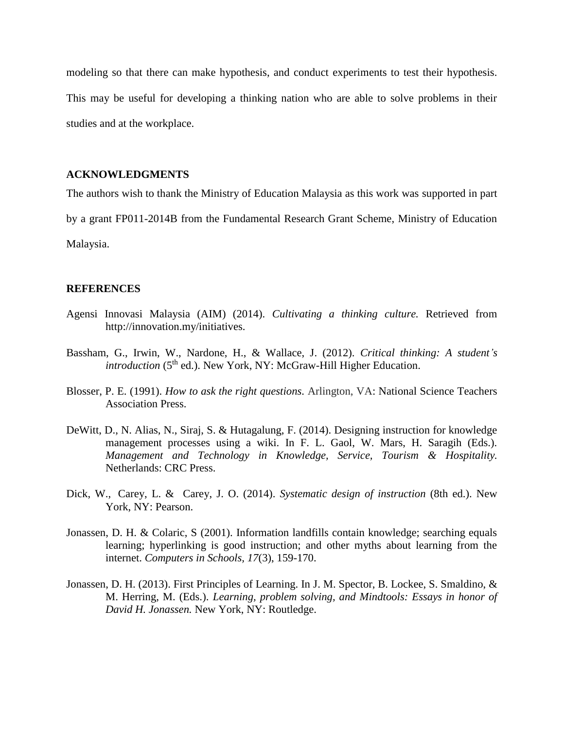modeling so that there can make hypothesis, and conduct experiments to test their hypothesis. This may be useful for developing a thinking nation who are able to solve problems in their studies and at the workplace.

## **ACKNOWLEDGMENTS**

The authors wish to thank the Ministry of Education Malaysia as this work was supported in part

by a grant FP011-2014B from the Fundamental Research Grant Scheme, Ministry of Education

Malaysia.

# **REFERENCES**

- Agensi Innovasi Malaysia (AIM) (2014). *Cultivating a thinking culture.* Retrieved from http://innovation.my/initiatives.
- Bassham, G., Irwin, W., Nardone, H., & Wallace, J. (2012). *Critical thinking: A student's introduction* (5<sup>th</sup> ed.). New York, NY: McGraw-Hill Higher Education.
- Blosser, P. E. (1991). *How to ask the right questions.* Arlington, VA: National Science Teachers Association Press.
- DeWitt, D., N. Alias, N., Siraj, S. & Hutagalung, F. (2014). Designing instruction for knowledge management processes using a wiki. In F. L. Gaol, W. Mars, H. Saragih (Eds.). *Management and Technology in Knowledge, Service, Tourism & Hospitality.* Netherlands: CRC Press.
- [Dick,](http://www.amazon.com/Walter-Dick/e/B001IXOFQI/ref=dp_byline_cont_book_1) W., [Carey,](http://www.amazon.com/Lou-Carey/e/B0027MMUGQ/ref=dp_byline_cont_book_2) L. & [Carey,](http://www.amazon.com/s/ref=dp_byline_sr_book_3?ie=UTF8&text=James+O.+Carey&search-alias=books&field-author=James+O.+Carey&sort=relevancerank) J. O. (2014). *Systematic design of instruction* (8th ed.). New York, NY: Pearson.
- Jonassen, D. H. & Colaric, S (2001). Information landfills contain knowledge; searching equals learning; hyperlinking is good instruction; and other myths about learning from the internet. *Computers in Schools, 17*(3), 159-170.
- Jonassen, D. H. (2013). First Principles of Learning. In J. M. Spector, B. Lockee, S. Smaldino, & M. Herring, M. (Eds.). *Learning, problem solving, and Mindtools: Essays in honor of David H. Jonassen.* New York, NY: Routledge.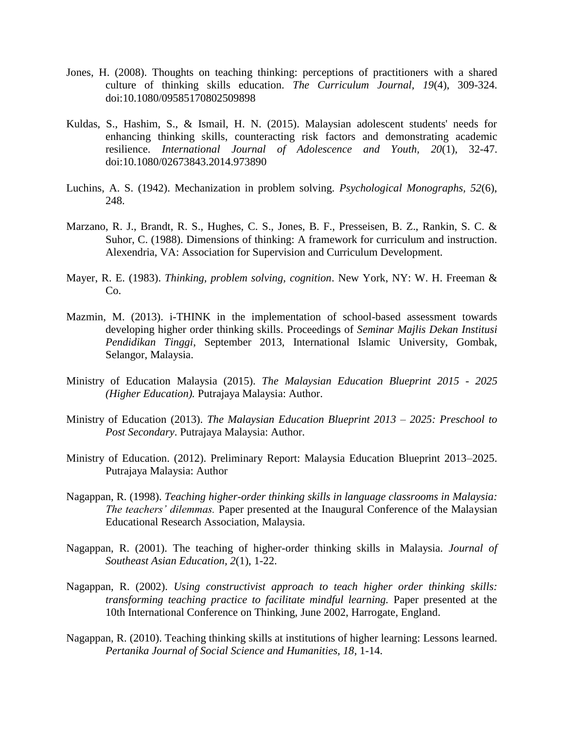- Jones, H. (2008). Thoughts on teaching thinking: perceptions of practitioners with a shared culture of thinking skills education. *The Curriculum Journal, 19*(4), 309-324. doi:10.1080/09585170802509898
- Kuldas, S., Hashim, S., & Ismail, H. N. (2015). Malaysian adolescent students' needs for enhancing thinking skills, counteracting risk factors and demonstrating academic resilience. *International Journal of Adolescence and Youth, 20*(1), 32-47. doi:10.1080/02673843.2014.973890
- Luchins, A. S. (1942). Mechanization in problem solving. *Psychological Monographs, 52*(6), 248.
- Marzano, R. J., Brandt, R. S., Hughes, C. S., Jones, B. F., Presseisen, B. Z., Rankin, S. C. & Suhor, C. (1988). Dimensions of thinking: A framework for curriculum and instruction. Alexendria, VA: Association for Supervision and Curriculum Development.
- Mayer, R. E. (1983). *Thinking, problem solving, cognition*. New York, NY: W. H. Freeman & Co.
- Mazmin, M. (2013). i-THINK in the implementation of school-based assessment towards developing higher order thinking skills. Proceedings of *Seminar Majlis Dekan Institusi Pendidikan Tinggi*, September 2013, International Islamic University, Gombak, Selangor, Malaysia.
- Ministry of Education Malaysia (2015). *The Malaysian Education Blueprint 2015 - 2025 (Higher Education).* Putrajaya Malaysia: Author.
- Ministry of Education (2013). *The Malaysian Education Blueprint 2013 – 2025: Preschool to Post Secondary*. Putrajaya Malaysia: Author.
- Ministry of Education. (2012). Preliminary Report: Malaysia Education Blueprint 2013–2025. Putrajaya Malaysia: Author
- Nagappan, R. (1998). *Teaching higher-order thinking skills in language classrooms in Malaysia: The teachers' dilemmas.* Paper presented at the Inaugural Conference of the Malaysian Educational Research Association, Malaysia.
- Nagappan, R. (2001). The teaching of higher-order thinking skills in Malaysia. *Journal of Southeast Asian Education, 2*(1), 1-22.
- Nagappan, R. (2002). *Using constructivist approach to teach higher order thinking skills: transforming teaching practice to facilitate mindful learning.* Paper presented at the 10th International Conference on Thinking, June 2002, Harrogate, England.
- Nagappan, R. (2010). Teaching thinking skills at institutions of higher learning: Lessons learned. *Pertanika Journal of Social Science and Humanities, 18*, 1-14.